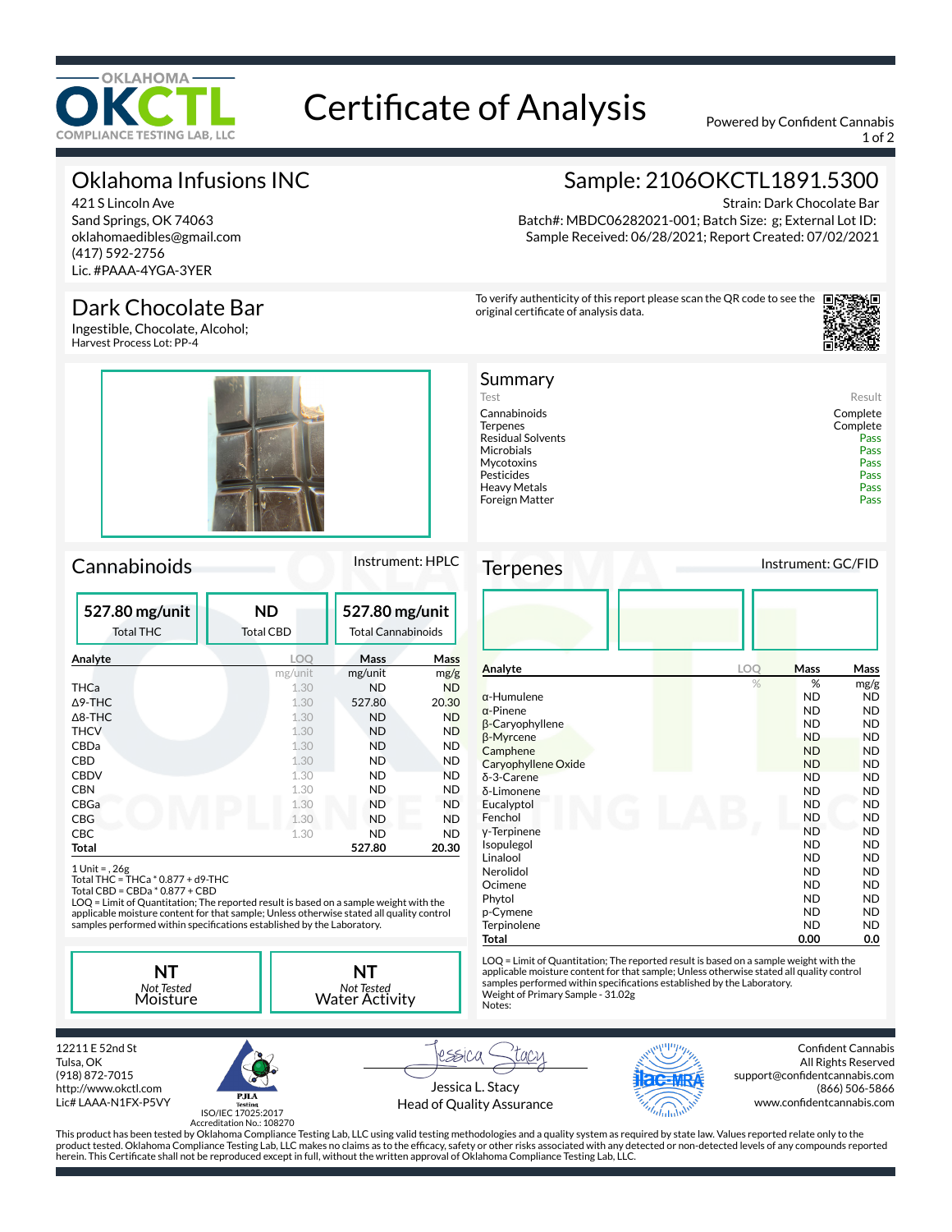

# Certificate of Analysis Powered by Confident Cannabis

1 of 2

# Oklahoma Infusions INC

421 S Lincoln Ave Sand Springs, OK 74063 oklahomaedibles@gmail.com (417) 592-2756 Lic. #PAAA-4YGA-3YER

## Dark Chocolate Bar

Ingestible, Chocolate, Alcohol; Harvest Process Lot: PP-4



### Cannabinoids Instrument: HPLC

| 527.80 mg/unit<br><b>Total THC</b> | <b>ND</b><br><b>Total CBD</b> | 527.80 mg/unit<br><b>Total Cannabinoids</b> |           |
|------------------------------------|-------------------------------|---------------------------------------------|-----------|
| Analyte                            | LOO                           | Mass                                        | Mass      |
|                                    | mg/unit                       | mg/unit                                     | mg/g      |
| THCa                               | 1.30                          | <b>ND</b>                                   | <b>ND</b> |
| $\Delta$ 9-THC                     | 1.30                          | 527.80                                      | 20.30     |
| $\Delta$ 8-THC                     | 1.30                          | <b>ND</b>                                   | <b>ND</b> |
| <b>THCV</b>                        | 1.30                          | <b>ND</b>                                   | <b>ND</b> |
| <b>CBDa</b>                        | 1.30                          | <b>ND</b>                                   | <b>ND</b> |
| CBD                                | 1.30                          | ND                                          | <b>ND</b> |
| <b>CBDV</b>                        | 1.30                          | <b>ND</b>                                   | <b>ND</b> |
| CBN                                | 1.30                          | ND                                          | <b>ND</b> |
| CBGa                               | 1.30                          | <b>ND</b>                                   | <b>ND</b> |
| <b>CBG</b>                         | 1.30                          | <b>ND</b>                                   | <b>ND</b> |
| CBC                                | 1.30                          | ND                                          | <b>ND</b> |
| Total                              |                               | 527.80                                      | 20.30     |

1 Unit = , 26g Total THC = THCa \* 0.877 + d9-THC Total CBD = CBDa \* 0.877 + CBD

LOQ = Limit of Quantitation; The reported result is based on a sample weight with the applicable moisture content for that sample; Unless otherwise stated all quality control<br>samples performed within specifications established by the Laboratory.

**NT** *Not Tested* Moisture





Strain: Dark Chocolate Bar Batch#: MBDC06282021-001; Batch Size: g; External Lot ID: Sample Received: 06/28/2021; Report Created: 07/02/2021

To verify authenticity of this report please scan the QR code to see the original certificate of analysis data.



| Summary                  |          |
|--------------------------|----------|
| Test                     | Result   |
| Cannabinoids             | Complete |
| <b>Terpenes</b>          | Complete |
| <b>Residual Solvents</b> | Pass     |
| Microbials               | Pass     |
| Mycotoxins               | Pass     |
| Pesticides               | Pass     |
| Heavy Metals             | Pass     |
| Foreign Matter           | Pass     |
|                          |          |

Terpenes Instrument: GC/FID

| Analyte                | LOQ | <b>Mass</b> | Mass      |
|------------------------|-----|-------------|-----------|
|                        | %   | %           | mg/g      |
| $\alpha$ -Humulene     |     | <b>ND</b>   | ND.       |
| $\alpha$ -Pinene       |     | <b>ND</b>   | ND        |
| $\beta$ -Caryophyllene |     | <b>ND</b>   | <b>ND</b> |
| β-Myrcene              |     | <b>ND</b>   | <b>ND</b> |
| Camphene               |     | <b>ND</b>   | <b>ND</b> |
| Caryophyllene Oxide    |     | <b>ND</b>   | ND.       |
| $\delta$ -3-Carene     |     | <b>ND</b>   | <b>ND</b> |
| δ-Limonene             |     | <b>ND</b>   | <b>ND</b> |
| Eucalyptol             |     | <b>ND</b>   | <b>ND</b> |
| Fenchol                |     | <b>ND</b>   | <b>ND</b> |
| y-Terpinene            |     | <b>ND</b>   | ND.       |
| Isopulegol             |     | <b>ND</b>   | ND.       |
| Linalool               |     | <b>ND</b>   | <b>ND</b> |
| Nerolidol              |     | <b>ND</b>   | ND.       |
| Ocimene                |     | <b>ND</b>   | ND.       |
| Phytol                 |     | <b>ND</b>   | <b>ND</b> |
| p-Cymene               |     | <b>ND</b>   | ND.       |
| Terpinolene            |     | <b>ND</b>   | <b>ND</b> |
| Total                  |     | 0.00        | 0.0       |

LOQ = Limit of Quantitation; The reported result is based on a sample weight with the applicable moisture content for that sample; Unless otherwise stated all quality control samples performed within specifications established by the Laboratory.<br>Weight of Primary Sample - 31.02g Notes:

12211 E 52nd St Tulsa, OK (918) 872-7015 http://www.okctl.com Lic# LAAA-N1FX-P5VY



Jessica L. Stacy Head of Quality Assurance



Confident Cannabis All Rights Reserved support@confidentcannabis.com (866) 506-5866 www.confidentcannabis.com

ISO/IEC 17025:2017

Accreditation No.: 108270 This product has been tested by Oklahoma Compliance Testing Lab, LLC using valid testing methodologies and a quality system as required by state law. Values reported relate only to the product tested. Oklahoma Compliance Testing Lab, LLC makes no claims as to the efcacy, safety or other risks associated with any detected or non-detected levels of any compounds reported herein. This Certificate shall not be reproduced except in full, without the written approval of Oklahoma Compliance Testing Lab, LLC.

rssica